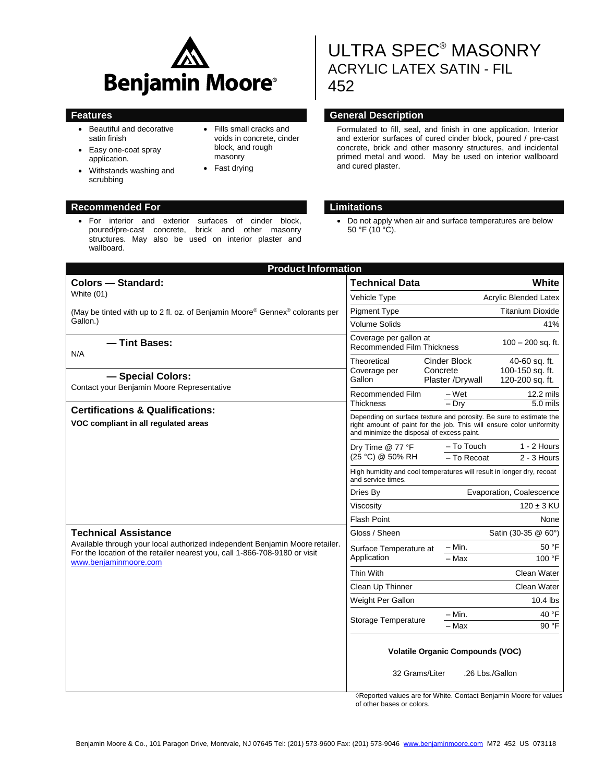

 For interior and exterior surfaces of cinder block, poured/pre-cast concrete, brick and other masonry structures. May also be used on interior plaster and

- Beautiful and decorative satin finish
- Easy one-coat spray application.
- Withstands washing and scrubbing
- **Recommended For Limitations**

wallboard.

- Fills small cracks and voids in concrete, cinder block, and rough masonry
- Fast drying

 Do not apply when air and surface temperatures are below 50 °F (10  $^{\circ}$ C).

| <b>Product Information</b>                                                                                                                                 |                                                                                                                                                                                          |                                                              |  |  |
|------------------------------------------------------------------------------------------------------------------------------------------------------------|------------------------------------------------------------------------------------------------------------------------------------------------------------------------------------------|--------------------------------------------------------------|--|--|
| <b>Colors - Standard:</b>                                                                                                                                  | <b>Technical Data</b>                                                                                                                                                                    | White                                                        |  |  |
| White (01)                                                                                                                                                 | Vehicle Type                                                                                                                                                                             | <b>Acrylic Blended Latex</b>                                 |  |  |
| (May be tinted with up to 2 fl. oz. of Benjamin Moore <sup>®</sup> Gennex <sup>®</sup> colorants per                                                       | <b>Pigment Type</b>                                                                                                                                                                      | <b>Titanium Dioxide</b>                                      |  |  |
| Gallon.)                                                                                                                                                   | <b>Volume Solids</b>                                                                                                                                                                     | 41%                                                          |  |  |
| - Tint Bases:<br>N/A                                                                                                                                       | Coverage per gallon at<br>Recommended Film Thickness                                                                                                                                     | $100 - 200$ sq. ft.                                          |  |  |
|                                                                                                                                                            | Theoretical<br>Coverage per<br>Gallon                                                                                                                                                    | Cinder Block<br>40-60 sq. ft.<br>Concrete<br>100-150 sq. ft. |  |  |
| - Special Colors:<br>Contact your Benjamin Moore Representative                                                                                            |                                                                                                                                                                                          | 120-200 sq. ft.<br>Plaster /Drywall                          |  |  |
| <b>Certifications &amp; Qualifications:</b>                                                                                                                | Recommended Film<br>Thickness                                                                                                                                                            | $-Wet$<br>$12.2$ mils<br>- Drv<br>5.0 mils                   |  |  |
| VOC compliant in all regulated areas                                                                                                                       | Depending on surface texture and porosity. Be sure to estimate the<br>right amount of paint for the job. This will ensure color uniformity<br>and minimize the disposal of excess paint. |                                                              |  |  |
|                                                                                                                                                            | Dry Time @ 77 °F                                                                                                                                                                         | - To Touch<br>$1 - 2$ Hours                                  |  |  |
|                                                                                                                                                            | (25 °C) @ 50% RH                                                                                                                                                                         | - To Recoat<br>$2 - 3$ Hours                                 |  |  |
|                                                                                                                                                            | High humidity and cool temperatures will result in longer dry, recoat<br>and service times.                                                                                              |                                                              |  |  |
|                                                                                                                                                            | Evaporation, Coalescence<br>Dries By                                                                                                                                                     |                                                              |  |  |
|                                                                                                                                                            | Viscosity                                                                                                                                                                                | $120 \pm 3$ KU                                               |  |  |
|                                                                                                                                                            | <b>Flash Point</b>                                                                                                                                                                       | None                                                         |  |  |
| <b>Technical Assistance</b>                                                                                                                                | Gloss / Sheen                                                                                                                                                                            | Satin (30-35 @ 60°)                                          |  |  |
| Available through your local authorized independent Benjamin Moore retailer.<br>For the location of the retailer nearest you, call 1-866-708-9180 or visit | Surface Temperature at                                                                                                                                                                   | $-$ Min.<br>50 °F                                            |  |  |
| www.beniaminmoore.com                                                                                                                                      | Application                                                                                                                                                                              | 100 °F<br>- Max                                              |  |  |
|                                                                                                                                                            | Thin With                                                                                                                                                                                | Clean Water                                                  |  |  |
|                                                                                                                                                            | Clean Up Thinner                                                                                                                                                                         | Clean Water                                                  |  |  |
|                                                                                                                                                            | Weight Per Gallon                                                                                                                                                                        | $10.4$ lbs                                                   |  |  |
|                                                                                                                                                            | <b>Storage Temperature</b>                                                                                                                                                               | 40 °F<br>– Min.                                              |  |  |
|                                                                                                                                                            |                                                                                                                                                                                          | 90 °F<br>– Max                                               |  |  |
|                                                                                                                                                            | <b>Volatile Organic Compounds (VOC)</b>                                                                                                                                                  |                                                              |  |  |
|                                                                                                                                                            | 32 Grams/Liter                                                                                                                                                                           | .26 Lbs./Gallon                                              |  |  |

◊Reported values are for White. Contact Benjamin Moore for values of other bases or colors.

# ULTRA SPEC® MASONRY ACRYLIC LATEX SATIN - FIL 452

### **Features Features General Description**

Formulated to fill, seal, and finish in one application. Interior and exterior surfaces of cured cinder block, poured / pre-cast concrete, brick and other masonry structures, and incidental primed metal and wood. May be used on interior wallboard and cured plaster.